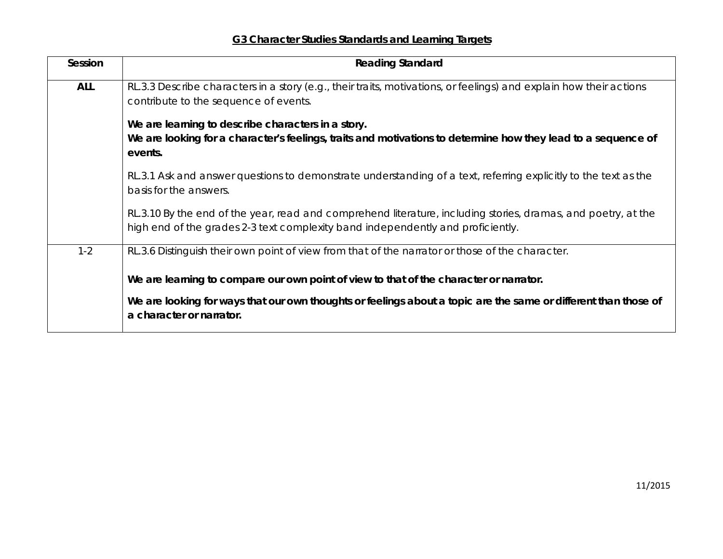## **G3 Character Studies Standards and Learning Targets**

| Session    | <b>Reading Standard</b>                                                                                                                                                                          |
|------------|--------------------------------------------------------------------------------------------------------------------------------------------------------------------------------------------------|
| <b>ALL</b> | RL.3.3 Describe characters in a story (e.g., their traits, motivations, or feelings) and explain how their actions<br>contribute to the sequence of events.                                      |
|            | We are learning to describe characters in a story.<br>We are looking for a character's feelings, traits and motivations to determine how they lead to a sequence of<br>events.                   |
|            | RL.3.1 Ask and answer questions to demonstrate understanding of a text, referring explicitly to the text as the<br>basis for the answers.                                                        |
|            | RL.3.10 By the end of the year, read and comprehend literature, including stories, dramas, and poetry, at the<br>high end of the grades 2-3 text complexity band independently and proficiently. |
| $1 - 2$    | RL.3.6 Distinguish their own point of view from that of the narrator or those of the character.                                                                                                  |
|            | We are learning to compare our own point of view to that of the character or narrator.                                                                                                           |
|            | We are looking for ways that our own thoughts or feelings about a topic are the same or different than those of<br>a character or narrator.                                                      |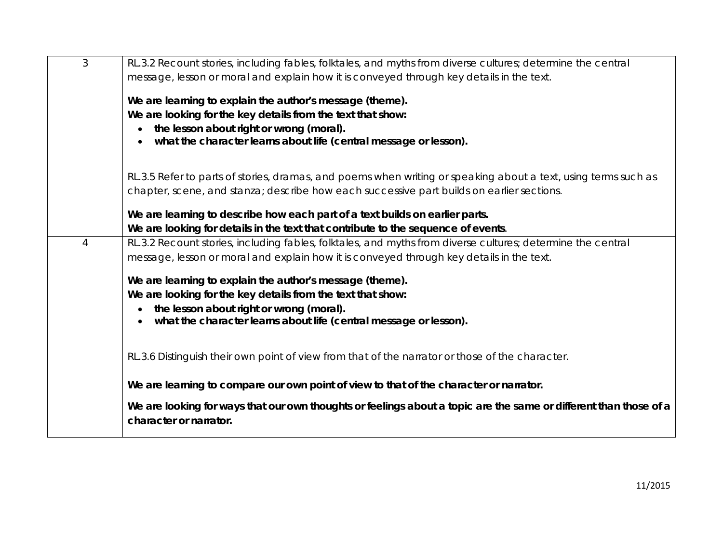| 3              | RL.3.2 Recount stories, including fables, folktales, and myths from diverse cultures; determine the central                                 |
|----------------|---------------------------------------------------------------------------------------------------------------------------------------------|
|                | message, lesson or moral and explain how it is conveyed through key details in the text.                                                    |
|                | We are learning to explain the author's message (theme).                                                                                    |
|                | We are looking for the key details from the text that show:                                                                                 |
|                | the lesson about right or wrong (moral).<br>$\bullet$                                                                                       |
|                | what the character learns about life (central message or lesson).                                                                           |
|                | RL.3.5 Refer to parts of stories, dramas, and poems when writing or speaking about a text, using terms such as                              |
|                | chapter, scene, and stanza; describe how each successive part builds on earlier sections.                                                   |
|                |                                                                                                                                             |
|                | We are learning to describe how each part of a text builds on earlier parts.                                                                |
|                | We are looking for details in the text that contribute to the sequence of events.                                                           |
| $\overline{4}$ | RL.3.2 Recount stories, including fables, folktales, and myths from diverse cultures; determine the central                                 |
|                | message, lesson or moral and explain how it is conveyed through key details in the text.                                                    |
|                | We are learning to explain the author's message (theme).                                                                                    |
|                | We are looking for the key details from the text that show:                                                                                 |
|                | the lesson about right or wrong (moral).<br>$\bullet$                                                                                       |
|                | what the character learns about life (central message or lesson).                                                                           |
|                |                                                                                                                                             |
|                | RL.3.6 Distinguish their own point of view from that of the narrator or those of the character.                                             |
|                |                                                                                                                                             |
|                | We are learning to compare our own point of view to that of the character or narrator.                                                      |
|                | We are looking for ways that our own thoughts or feelings about a topic are the same or different than those of a<br>character or narrator. |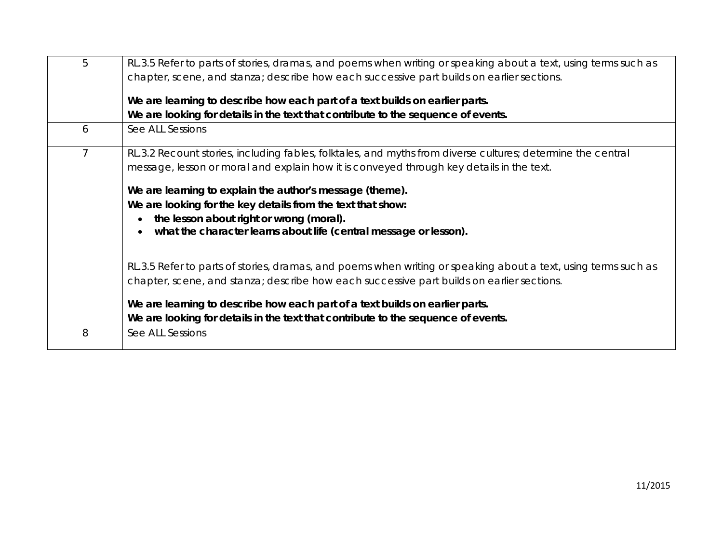| 5              | RL.3.5 Refer to parts of stories, dramas, and poems when writing or speaking about a text, using terms such as<br>chapter, scene, and stanza; describe how each successive part builds on earlier sections. |
|----------------|-------------------------------------------------------------------------------------------------------------------------------------------------------------------------------------------------------------|
|                | We are learning to describe how each part of a text builds on earlier parts.<br>We are looking for details in the text that contribute to the sequence of events.                                           |
| 6              | See ALL Sessions                                                                                                                                                                                            |
| $\overline{7}$ | RL.3.2 Recount stories, including fables, folktales, and myths from diverse cultures; determine the central<br>message, lesson or moral and explain how it is conveyed through key details in the text.     |
|                | We are learning to explain the author's message (theme).                                                                                                                                                    |
|                | We are looking for the key details from the text that show:<br>the lesson about right or wrong (moral).<br>what the character learns about life (central message or lesson).                                |
|                | RL.3.5 Refer to parts of stories, dramas, and poems when writing or speaking about a text, using terms such as<br>chapter, scene, and stanza; describe how each successive part builds on earlier sections. |
|                | We are learning to describe how each part of a text builds on earlier parts.<br>We are looking for details in the text that contribute to the sequence of events.                                           |
| 8              | See ALL Sessions                                                                                                                                                                                            |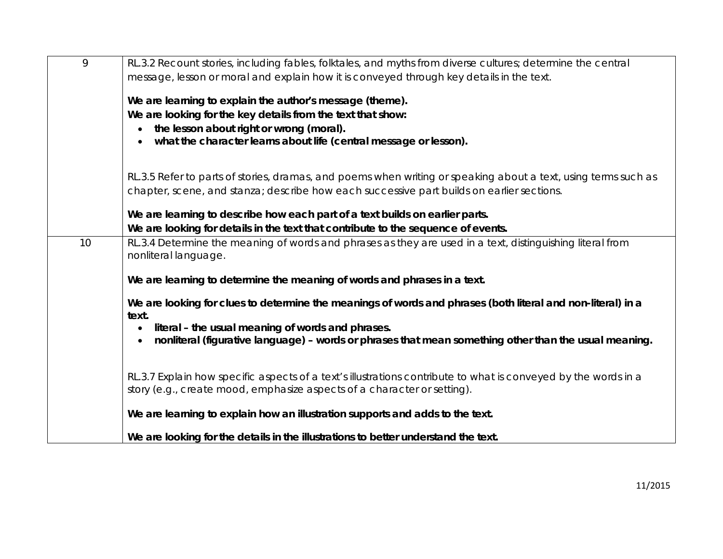| 9  | RL.3.2 Recount stories, including fables, folktales, and myths from diverse cultures; determine the central                       |
|----|-----------------------------------------------------------------------------------------------------------------------------------|
|    | message, lesson or moral and explain how it is conveyed through key details in the text.                                          |
|    | We are learning to explain the author's message (theme).                                                                          |
|    | We are looking for the key details from the text that show:                                                                       |
|    | the lesson about right or wrong (moral).                                                                                          |
|    | what the character learns about life (central message or lesson).                                                                 |
|    | RL.3.5 Refer to parts of stories, dramas, and poems when writing or speaking about a text, using terms such as                    |
|    | chapter, scene, and stanza; describe how each successive part builds on earlier sections.                                         |
|    | We are learning to describe how each part of a text builds on earlier parts.                                                      |
|    | We are looking for details in the text that contribute to the sequence of events.                                                 |
| 10 | RL.3.4 Determine the meaning of words and phrases as they are used in a text, distinguishing literal from<br>nonliteral language. |
|    | We are learning to determine the meaning of words and phrases in a text.                                                          |
|    | We are looking for clues to determine the meanings of words and phrases (both literal and non-literal) in a<br>text.              |
|    | literal - the usual meaning of words and phrases.                                                                                 |
|    | nonliteral (figurative language) - words or phrases that mean something other than the usual meaning.                             |
|    | RL.3.7 Explain how specific aspects of a text's illustrations contribute to what is conveyed by the words in a                    |
|    | story (e.g., create mood, emphasize aspects of a character or setting).                                                           |
|    | We are learning to explain how an illustration supports and adds to the text.                                                     |
|    | We are looking for the details in the illustrations to better understand the text.                                                |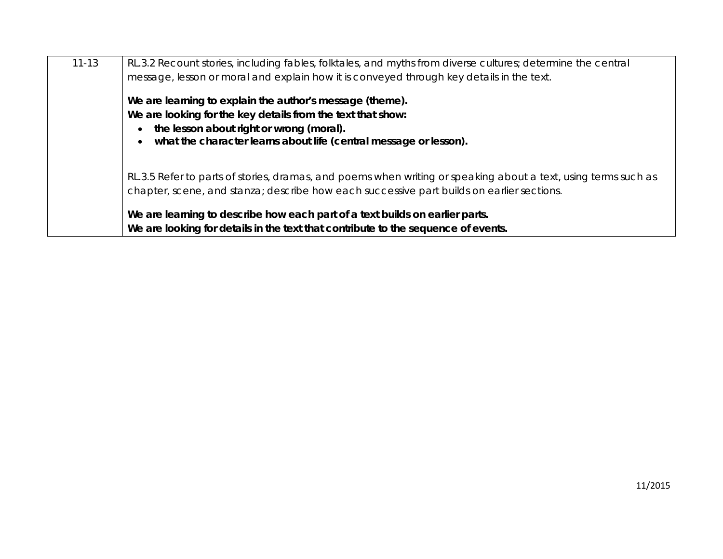| $11 - 13$ | RL.3.2 Recount stories, including fables, folktales, and myths from diverse cultures; determine the central<br>message, lesson or moral and explain how it is conveyed through key details in the text.                                  |
|-----------|------------------------------------------------------------------------------------------------------------------------------------------------------------------------------------------------------------------------------------------|
|           | We are learning to explain the author's message (theme).<br>We are looking for the key details from the text that show:<br>the lesson about right or wrong (moral).<br>what the character learns about life (central message or lesson). |
|           | RL.3.5 Refer to parts of stories, dramas, and poems when writing or speaking about a text, using terms such as<br>chapter, scene, and stanza; describe how each successive part builds on earlier sections.                              |
|           | We are learning to describe how each part of a text builds on earlier parts.<br>We are looking for details in the text that contribute to the sequence of events.                                                                        |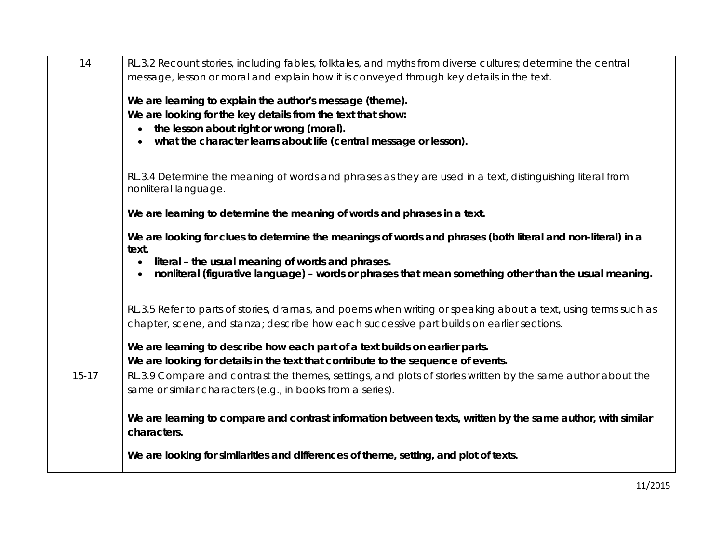| 14        | RL.3.2 Recount stories, including fables, folktales, and myths from diverse cultures; determine the central    |
|-----------|----------------------------------------------------------------------------------------------------------------|
|           | message, lesson or moral and explain how it is conveyed through key details in the text.                       |
|           |                                                                                                                |
|           | We are learning to explain the author's message (theme).                                                       |
|           | We are looking for the key details from the text that show:                                                    |
|           | the lesson about right or wrong (moral).                                                                       |
|           | what the character learns about life (central message or lesson).                                              |
|           |                                                                                                                |
|           | RL.3.4 Determine the meaning of words and phrases as they are used in a text, distinguishing literal from      |
|           | nonliteral language.                                                                                           |
|           |                                                                                                                |
|           | We are learning to determine the meaning of words and phrases in a text.                                       |
|           | We are looking for clues to determine the meanings of words and phrases (both literal and non-literal) in a    |
|           | text.                                                                                                          |
|           | literal - the usual meaning of words and phrases.                                                              |
|           | nonliteral (figurative language) - words or phrases that mean something other than the usual meaning.          |
|           |                                                                                                                |
|           | RL.3.5 Refer to parts of stories, dramas, and poems when writing or speaking about a text, using terms such as |
|           | chapter, scene, and stanza; describe how each successive part builds on earlier sections.                      |
|           |                                                                                                                |
|           | We are learning to describe how each part of a text builds on earlier parts.                                   |
|           | We are looking for details in the text that contribute to the sequence of events.                              |
| $15 - 17$ | RL.3.9 Compare and contrast the themes, settings, and plots of stories written by the same author about the    |
|           | same or similar characters (e.g., in books from a series).                                                     |
|           |                                                                                                                |
|           | We are learning to compare and contrast information between texts, written by the same author, with similar    |
|           | characters.                                                                                                    |
|           |                                                                                                                |
|           | We are looking for similarities and differences of theme, setting, and plot of texts.                          |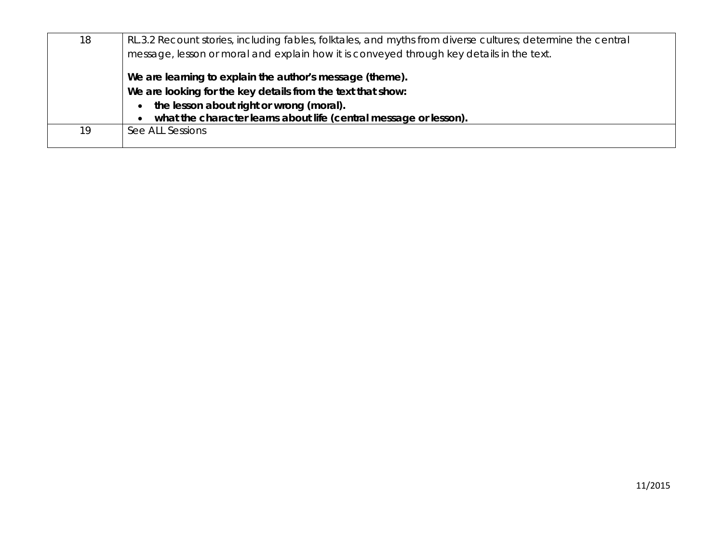| 18 | RL.3.2 Recount stories, including fables, folktales, and myths from diverse cultures; determine the central<br>message, lesson or moral and explain how it is conveyed through key details in the text. |
|----|---------------------------------------------------------------------------------------------------------------------------------------------------------------------------------------------------------|
|    | We are learning to explain the author's message (theme).<br>We are looking for the key details from the text that show:                                                                                 |
|    | the lesson about right or wrong (moral).<br>what the character learns about life (central message or lesson).                                                                                           |
| 19 | See ALL Sessions                                                                                                                                                                                        |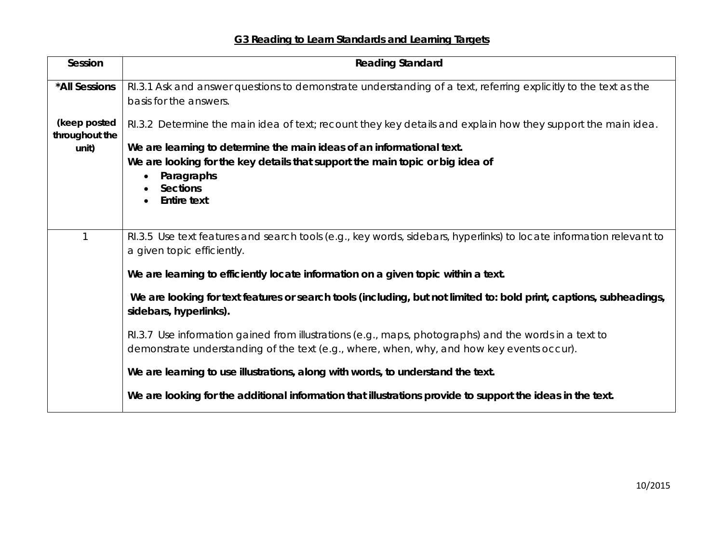## **G3 Reading to Learn Standards and Learning Targets**

| Session                        | <b>Reading Standard</b>                                                                                                                                                                            |
|--------------------------------|----------------------------------------------------------------------------------------------------------------------------------------------------------------------------------------------------|
| *All Sessions                  | RI.3.1 Ask and answer questions to demonstrate understanding of a text, referring explicitly to the text as the<br>basis for the answers.                                                          |
| (keep posted<br>throughout the | RI.3.2 Determine the main idea of text; recount they key details and explain how they support the main idea.                                                                                       |
| unit)                          | We are learning to determine the main ideas of an informational text.                                                                                                                              |
|                                | We are looking for the key details that support the main topic or big idea of                                                                                                                      |
|                                | Paragraphs<br>$\bullet$                                                                                                                                                                            |
|                                | <b>Sections</b>                                                                                                                                                                                    |
|                                | <b>Entire text</b>                                                                                                                                                                                 |
|                                |                                                                                                                                                                                                    |
|                                | RI.3.5 Use text features and search tools (e.g., key words, sidebars, hyperlinks) to locate information relevant to<br>a given topic efficiently.                                                  |
|                                | We are learning to efficiently locate information on a given topic within a text.                                                                                                                  |
|                                | We are looking for text features or search tools (including, but not limited to: bold print, captions, subheadings,<br>sidebars, hyperlinks).                                                      |
|                                | RI.3.7 Use information gained from illustrations (e.g., maps, photographs) and the words in a text to<br>demonstrate understanding of the text (e.g., where, when, why, and how key events occur). |
|                                | We are learning to use illustrations, along with words, to understand the text.                                                                                                                    |
|                                | We are looking for the additional information that illustrations provide to support the ideas in the text.                                                                                         |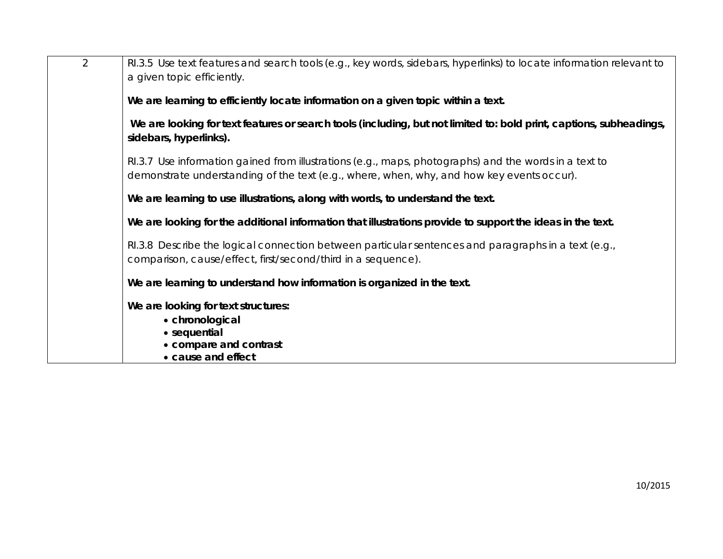| 2 | RI.3.5 Use text features and search tools (e.g., key words, sidebars, hyperlinks) to locate information relevant to<br>a given topic efficiently.                                                  |
|---|----------------------------------------------------------------------------------------------------------------------------------------------------------------------------------------------------|
|   | We are learning to efficiently locate information on a given topic within a text.                                                                                                                  |
|   | We are looking for text features or search tools (including, but not limited to: bold print, captions, subheadings,<br>sidebars, hyperlinks).                                                      |
|   | RI.3.7 Use information gained from illustrations (e.g., maps, photographs) and the words in a text to<br>demonstrate understanding of the text (e.g., where, when, why, and how key events occur). |
|   | We are learning to use illustrations, along with words, to understand the text.                                                                                                                    |
|   | We are looking for the additional information that illustrations provide to support the ideas in the text.                                                                                         |
|   | RI.3.8 Describe the logical connection between particular sentences and paragraphs in a text (e.g.,<br>comparison, cause/effect, first/second/third in a sequence).                                |
|   | We are learning to understand how information is organized in the text.                                                                                                                            |
|   | We are looking for text structures:<br>• chronological<br>• sequential<br>• compare and contrast<br>• cause and effect                                                                             |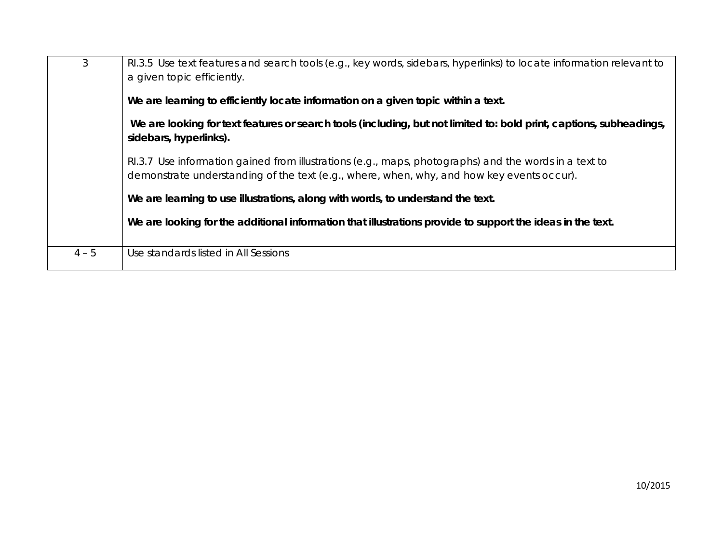| 3       | RI.3.5 Use text features and search tools (e.g., key words, sidebars, hyperlinks) to locate information relevant to<br>a given topic efficiently.<br>We are learning to efficiently locate information on a given topic within a text.<br>We are looking for text features or search tools (including, but not limited to: bold print, captions, subheadings,<br>sidebars, hyperlinks).<br>RI.3.7 Use information gained from illustrations (e.g., maps, photographs) and the words in a text to<br>demonstrate understanding of the text (e.g., where, when, why, and how key events occur).<br>We are learning to use illustrations, along with words, to understand the text.<br>We are looking for the additional information that illustrations provide to support the ideas in the text. |
|---------|------------------------------------------------------------------------------------------------------------------------------------------------------------------------------------------------------------------------------------------------------------------------------------------------------------------------------------------------------------------------------------------------------------------------------------------------------------------------------------------------------------------------------------------------------------------------------------------------------------------------------------------------------------------------------------------------------------------------------------------------------------------------------------------------|
|         |                                                                                                                                                                                                                                                                                                                                                                                                                                                                                                                                                                                                                                                                                                                                                                                                |
| $4 - 5$ | Use standards listed in All Sessions                                                                                                                                                                                                                                                                                                                                                                                                                                                                                                                                                                                                                                                                                                                                                           |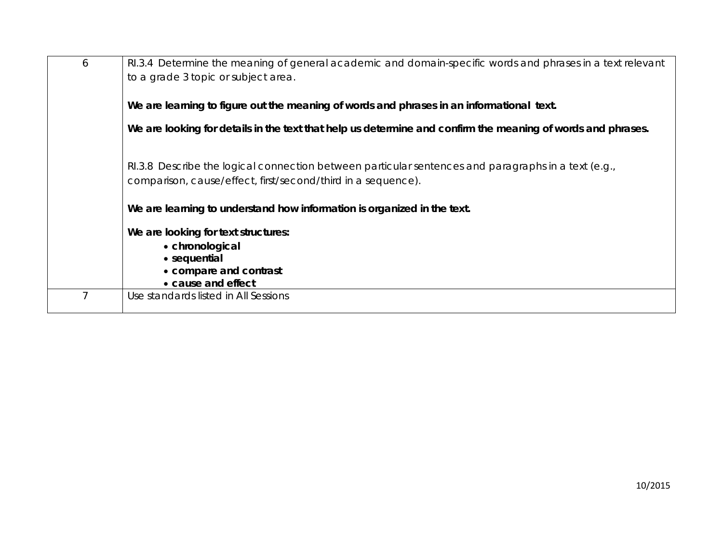| 6 | RI.3.4 Determine the meaning of general academic and domain-specific words and phrases in a text relevant<br>to a grade 3 topic or subject area.                      |
|---|-----------------------------------------------------------------------------------------------------------------------------------------------------------------------|
|   | We are learning to figure out the meaning of words and phrases in an informational text.                                                                              |
|   | We are looking for details in the text that help us determine and confirm the meaning of words and phrases.                                                           |
|   | $R1.3.8$ Describe the logical connection between particular sentences and paragraphs in a text (e.g.,<br>comparison, cause/effect, first/second/third in a sequence). |
|   | We are learning to understand how information is organized in the text.                                                                                               |
|   | We are looking for text structures:                                                                                                                                   |
|   | • chronological                                                                                                                                                       |
|   | • sequential<br>• compare and contrast                                                                                                                                |
|   | • cause and effect                                                                                                                                                    |
|   | Use standards listed in All Sessions                                                                                                                                  |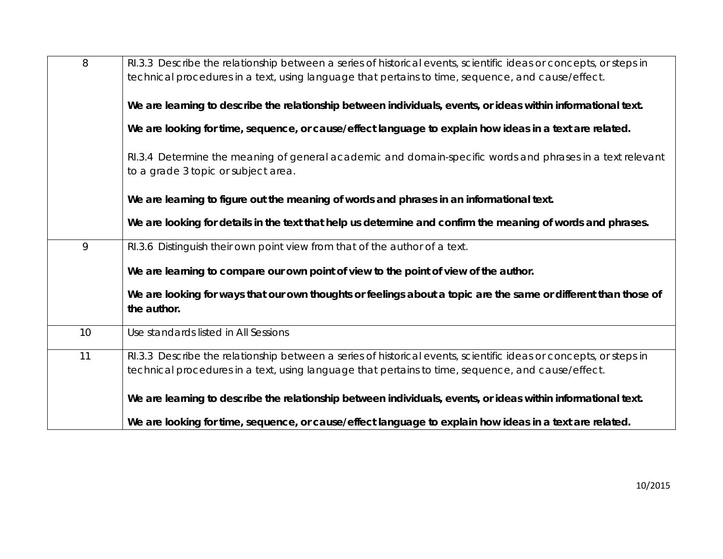| 8  | RI.3.3 Describe the relationship between a series of historical events, scientific ideas or concepts, or steps in<br>technical procedures in a text, using language that pertains to time, sequence, and cause/effect. |
|----|------------------------------------------------------------------------------------------------------------------------------------------------------------------------------------------------------------------------|
|    | We are learning to describe the relationship between individuals, events, or ideas within informational text.                                                                                                          |
|    | We are looking for time, sequence, or cause/effect language to explain how ideas in a text are related.                                                                                                                |
|    | RI.3.4 Determine the meaning of general academic and domain-specific words and phrases in a text relevant<br>to a grade 3 topic or subject area.                                                                       |
|    | We are learning to figure out the meaning of words and phrases in an informational text.                                                                                                                               |
|    | We are looking for details in the text that help us determine and confirm the meaning of words and phrases.                                                                                                            |
| 9  | RI.3.6 Distinguish their own point view from that of the author of a text.                                                                                                                                             |
|    | We are learning to compare our own point of view to the point of view of the author.                                                                                                                                   |
|    | We are looking for ways that our own thoughts or feelings about a topic are the same or different than those of<br>the author.                                                                                         |
| 10 | Use standards listed in All Sessions                                                                                                                                                                                   |
| 11 | RI.3.3 Describe the relationship between a series of historical events, scientific ideas or concepts, or steps in<br>technical procedures in a text, using language that pertains to time, sequence, and cause/effect. |
|    | We are learning to describe the relationship between individuals, events, or ideas within informational text.                                                                                                          |
|    | We are looking for time, sequence, or cause/effect language to explain how ideas in a text are related.                                                                                                                |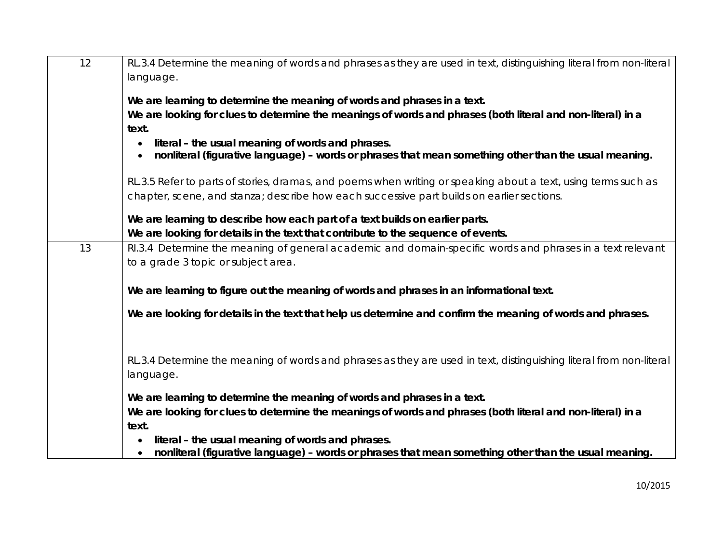| 12 | RL.3.4 Determine the meaning of words and phrases as they are used in text, distinguishing literal from non-literal |
|----|---------------------------------------------------------------------------------------------------------------------|
|    | language.                                                                                                           |
|    | We are learning to determine the meaning of words and phrases in a text.                                            |
|    | We are looking for clues to determine the meanings of words and phrases (both literal and non-literal) in a         |
|    | text.                                                                                                               |
|    | literal - the usual meaning of words and phrases.                                                                   |
|    | nonliteral (figurative language) - words or phrases that mean something other than the usual meaning.               |
|    | RL.3.5 Refer to parts of stories, dramas, and poems when writing or speaking about a text, using terms such as      |
|    | chapter, scene, and stanza; describe how each successive part builds on earlier sections.                           |
|    | We are learning to describe how each part of a text builds on earlier parts.                                        |
|    | We are looking for details in the text that contribute to the sequence of events.                                   |
| 13 | RI.3.4 Determine the meaning of general academic and domain-specific words and phrases in a text relevant           |
|    | to a grade 3 topic or subject area.                                                                                 |
|    |                                                                                                                     |
|    | We are learning to figure out the meaning of words and phrases in an informational text.                            |
|    | We are looking for details in the text that help us determine and confirm the meaning of words and phrases.         |
|    |                                                                                                                     |
|    |                                                                                                                     |
|    | RL.3.4 Determine the meaning of words and phrases as they are used in text, distinguishing literal from non-literal |
|    | language.                                                                                                           |
|    | We are learning to determine the meaning of words and phrases in a text.                                            |
|    | We are looking for clues to determine the meanings of words and phrases (both literal and non-literal) in a         |
|    | text.                                                                                                               |
|    | literal - the usual meaning of words and phrases.                                                                   |
|    | nonliteral (figurative language) - words or phrases that mean something other than the usual meaning.               |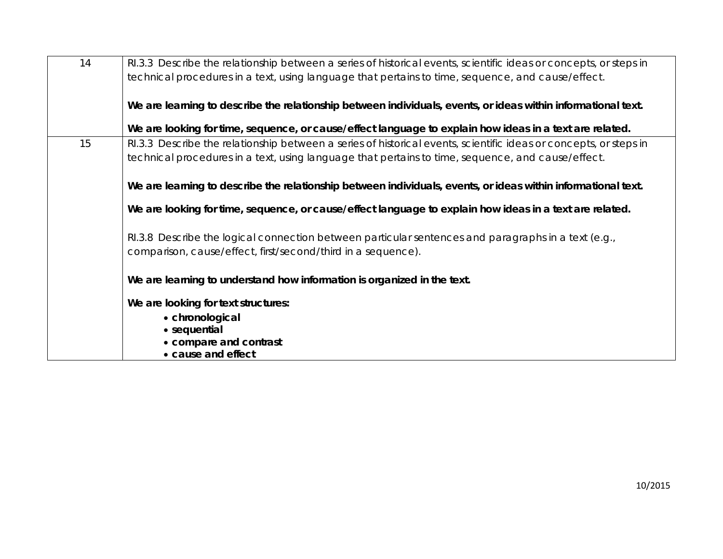| 14 | RI.3.3 Describe the relationship between a series of historical events, scientific ideas or concepts, or steps in<br>technical procedures in a text, using language that pertains to time, sequence, and cause/effect. |
|----|------------------------------------------------------------------------------------------------------------------------------------------------------------------------------------------------------------------------|
|    | We are learning to describe the relationship between individuals, events, or ideas within informational text.                                                                                                          |
|    | We are looking for time, sequence, or cause/effect language to explain how ideas in a text are related.                                                                                                                |
| 15 | RI.3.3 Describe the relationship between a series of historical events, scientific ideas or concepts, or steps in<br>technical procedures in a text, using language that pertains to time, sequence, and cause/effect. |
|    | We are learning to describe the relationship between individuals, events, or ideas within informational text.                                                                                                          |
|    | We are looking for time, sequence, or cause/effect language to explain how ideas in a text are related.                                                                                                                |
|    | RI.3.8 Describe the logical connection between particular sentences and paragraphs in a text (e.g.,<br>comparison, cause/effect, first/second/third in a sequence).                                                    |
|    | We are learning to understand how information is organized in the text.                                                                                                                                                |
|    | We are looking for text structures:                                                                                                                                                                                    |
|    | • chronological                                                                                                                                                                                                        |
|    | • sequential<br>• compare and contrast                                                                                                                                                                                 |
|    | • cause and effect                                                                                                                                                                                                     |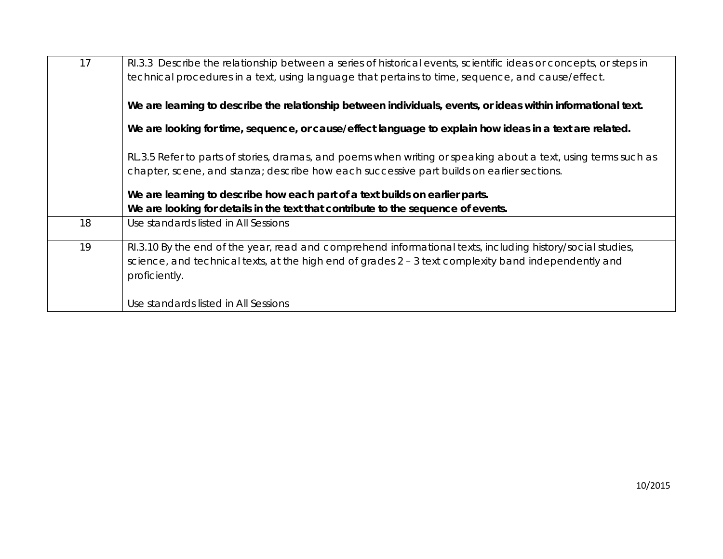|    | Use standards listed in All Sessions                                                                                    |  |  |  |
|----|-------------------------------------------------------------------------------------------------------------------------|--|--|--|
|    | science, and technical texts, at the high end of grades $2 - 3$ text complexity band independently and<br>proficiently. |  |  |  |
| 19 | RI.3.10 By the end of the year, read and comprehend informational texts, including history/social studies,              |  |  |  |
| 18 | Use standards listed in All Sessions                                                                                    |  |  |  |
|    | We are looking for details in the text that contribute to the sequence of events.                                       |  |  |  |
|    | We are learning to describe how each part of a text builds on earlier parts.                                            |  |  |  |
|    | chapter, scene, and stanza; describe how each successive part builds on earlier sections.                               |  |  |  |
|    | RL.3.5 Refer to parts of stories, dramas, and poems when writing or speaking about a text, using terms such as          |  |  |  |
|    | We are looking for time, sequence, or cause/effect language to explain how ideas in a text are related.                 |  |  |  |
|    |                                                                                                                         |  |  |  |
|    | We are learning to describe the relationship between individuals, events, or ideas within informational text.           |  |  |  |
|    | technical procedures in a text, using language that pertains to time, sequence, and cause/effect.                       |  |  |  |
| 17 | RI.3.3 Describe the relationship between a series of historical events, scientific ideas or concepts, or steps in       |  |  |  |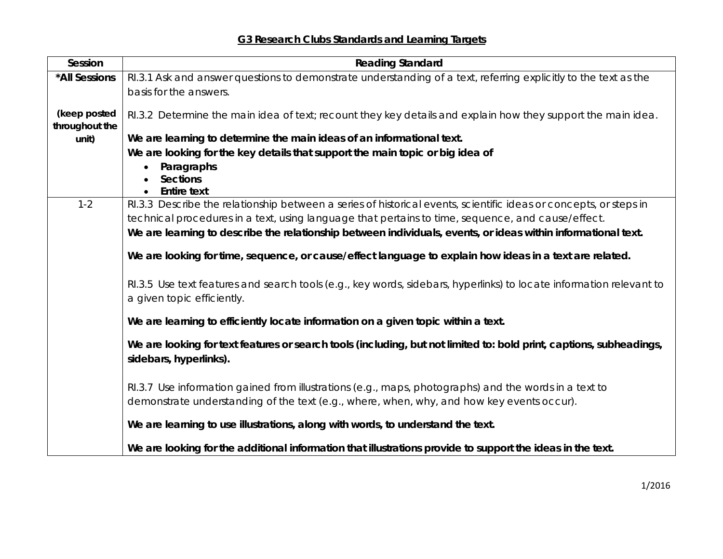**G3 Research Clubs Standards and Learning Targets**

| Session                 | <b>Reading Standard</b>                                                                                             |  |  |  |
|-------------------------|---------------------------------------------------------------------------------------------------------------------|--|--|--|
| *All Sessions           | RI.3.1 Ask and answer questions to demonstrate understanding of a text, referring explicitly to the text as the     |  |  |  |
|                         | basis for the answers.                                                                                              |  |  |  |
|                         |                                                                                                                     |  |  |  |
| (keep posted            | RI.3.2 Determine the main idea of text; recount they key details and explain how they support the main idea.        |  |  |  |
| throughout the<br>unit) | We are learning to determine the main ideas of an informational text.                                               |  |  |  |
|                         | We are looking for the key details that support the main topic or big idea of                                       |  |  |  |
|                         | Paragraphs                                                                                                          |  |  |  |
|                         | <b>Sections</b>                                                                                                     |  |  |  |
|                         | <b>Entire text</b>                                                                                                  |  |  |  |
| $1 - 2$                 | RI.3.3 Describe the relationship between a series of historical events, scientific ideas or concepts, or steps in   |  |  |  |
|                         | technical procedures in a text, using language that pertains to time, sequence, and cause/effect.                   |  |  |  |
|                         | We are learning to describe the relationship between individuals, events, or ideas within informational text.       |  |  |  |
|                         |                                                                                                                     |  |  |  |
|                         | We are looking for time, sequence, or cause/effect language to explain how ideas in a text are related.             |  |  |  |
|                         |                                                                                                                     |  |  |  |
|                         | RI.3.5 Use text features and search tools (e.g., key words, sidebars, hyperlinks) to locate information relevant to |  |  |  |
|                         | a given topic efficiently.                                                                                          |  |  |  |
|                         | We are learning to efficiently locate information on a given topic within a text.                                   |  |  |  |
|                         |                                                                                                                     |  |  |  |
|                         | We are looking for text features or search tools (including, but not limited to: bold print, captions, subheadings, |  |  |  |
|                         | sidebars, hyperlinks).                                                                                              |  |  |  |
|                         |                                                                                                                     |  |  |  |
|                         | RI.3.7 Use information gained from illustrations (e.g., maps, photographs) and the words in a text to               |  |  |  |
|                         | demonstrate understanding of the text (e.g., where, when, why, and how key events occur).                           |  |  |  |
|                         |                                                                                                                     |  |  |  |
|                         | We are learning to use illustrations, along with words, to understand the text.                                     |  |  |  |
|                         | We are looking for the additional information that illustrations provide to support the ideas in the text.          |  |  |  |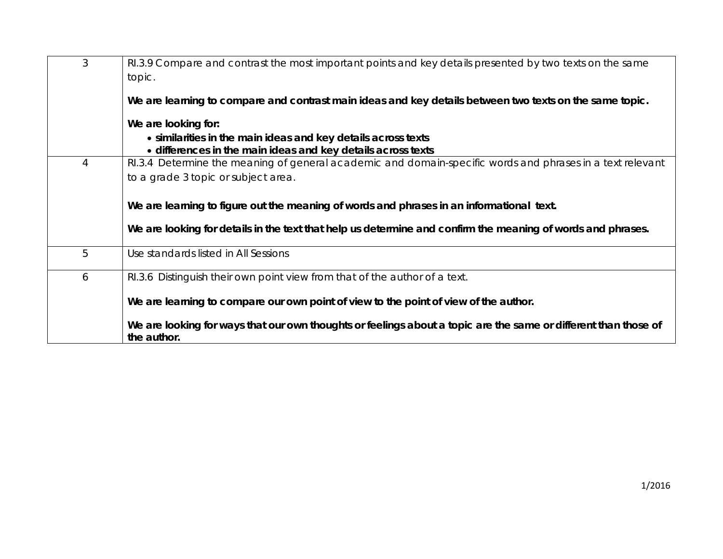| 3 | RI.3.9 Compare and contrast the most important points and key details presented by two texts on the same        |
|---|-----------------------------------------------------------------------------------------------------------------|
|   | topic.                                                                                                          |
|   |                                                                                                                 |
|   | We are learning to compare and contrast main ideas and key details between two texts on the same topic.         |
|   | We are looking for:                                                                                             |
|   | • similarities in the main ideas and key details across texts                                                   |
|   | • differences in the main ideas and key details across texts                                                    |
| 4 | RI.3.4 Determine the meaning of general academic and domain-specific words and phrases in a text relevant       |
|   | to a grade 3 topic or subject area.                                                                             |
|   |                                                                                                                 |
|   | We are learning to figure out the meaning of words and phrases in an informational text.                        |
|   |                                                                                                                 |
|   | We are looking for details in the text that help us determine and confirm the meaning of words and phrases.     |
|   |                                                                                                                 |
| 5 | Use standards listed in All Sessions                                                                            |
| 6 | RI.3.6 Distinguish their own point view from that of the author of a text.                                      |
|   |                                                                                                                 |
|   | We are learning to compare our own point of view to the point of view of the author.                            |
|   |                                                                                                                 |
|   | We are looking for ways that our own thoughts or feelings about a topic are the same or different than those of |
|   | the author.                                                                                                     |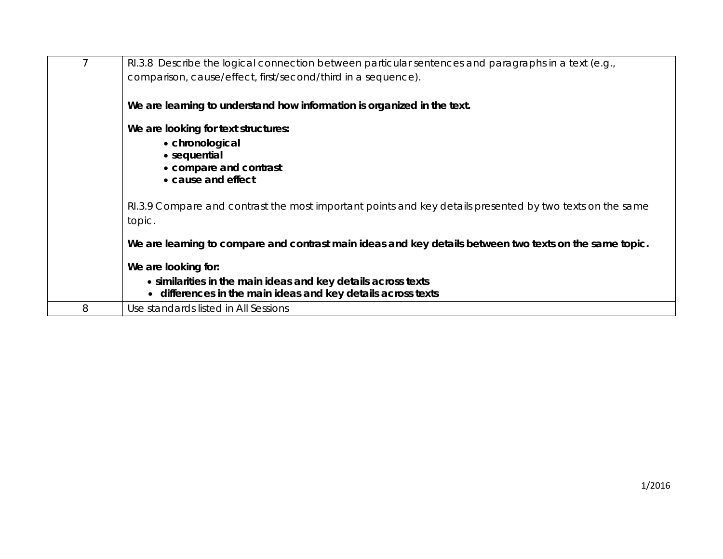|   | RI.3.8 Describe the logical connection between particular sentences and paragraphs in a text (e.g.,<br>comparison, cause/effect, first/second/third in a sequence). |
|---|---------------------------------------------------------------------------------------------------------------------------------------------------------------------|
|   | We are learning to understand how information is organized in the text.                                                                                             |
|   | We are looking for text structures:<br>• chronological<br>• sequential<br>• compare and contrast<br>• cause and effect                                              |
|   | RI.3.9 Compare and contrast the most important points and key details presented by two texts on the same<br>topic.                                                  |
|   | We are learning to compare and contrast main ideas and key details between two texts on the same topic.                                                             |
|   | We are looking for:                                                                                                                                                 |
|   | • similarities in the main ideas and key details across texts<br>• differences in the main ideas and key details across texts                                       |
| 8 | Use standards listed in All Sessions                                                                                                                                |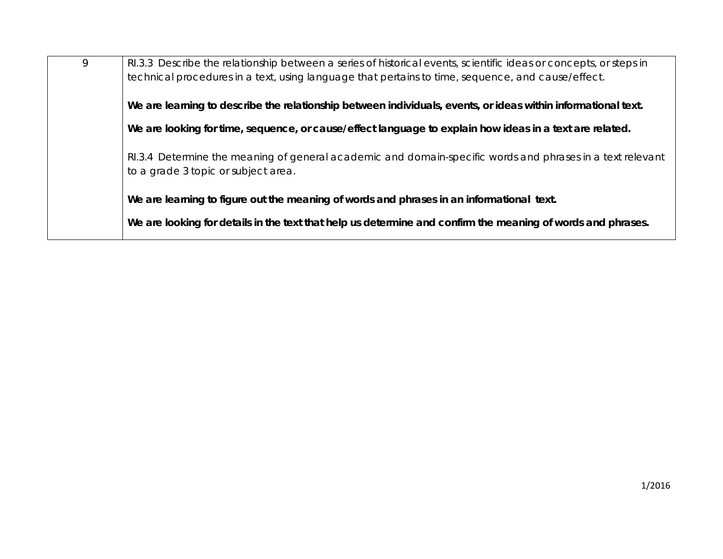| 9 | RI.3.3 Describe the relationship between a series of historical events, scientific ideas or concepts, or steps in<br>technical procedures in a text, using language that pertains to time, sequence, and cause/effect. |
|---|------------------------------------------------------------------------------------------------------------------------------------------------------------------------------------------------------------------------|
|   | We are learning to describe the relationship between individuals, events, or ideas within informational text.                                                                                                          |
|   | We are looking for time, sequence, or cause/effect language to explain how ideas in a text are related.                                                                                                                |
|   | RI.3.4 Determine the meaning of general academic and domain-specific words and phrases in a text relevant<br>to a grade 3 topic or subject area.                                                                       |
|   | We are learning to figure out the meaning of words and phrases in an informational text.                                                                                                                               |
|   | We are looking for details in the text that help us determine and confirm the meaning of words and phrases.                                                                                                            |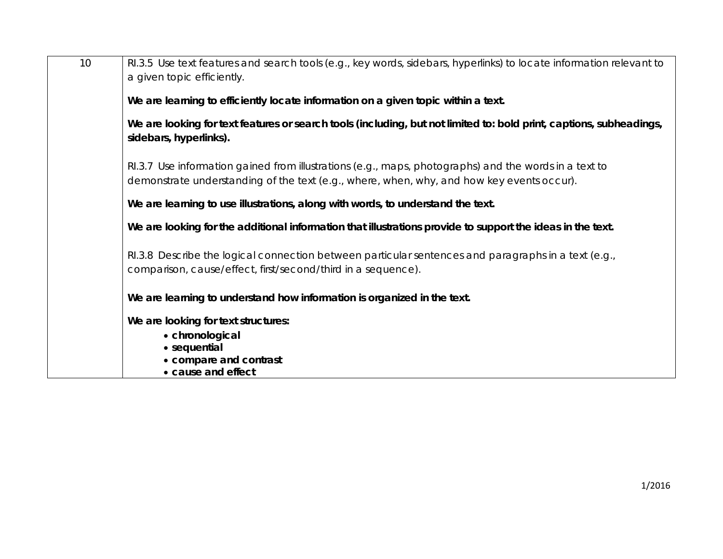| 10 | RI.3.5 Use text features and search tools (e.g., key words, sidebars, hyperlinks) to locate information relevant to<br>a given topic efficiently.                                                  |
|----|----------------------------------------------------------------------------------------------------------------------------------------------------------------------------------------------------|
|    | We are learning to efficiently locate information on a given topic within a text.                                                                                                                  |
|    | We are looking for text features or search tools (including, but not limited to: bold print, captions, subheadings,<br>sidebars, hyperlinks).                                                      |
|    | RI.3.7 Use information gained from illustrations (e.g., maps, photographs) and the words in a text to<br>demonstrate understanding of the text (e.g., where, when, why, and how key events occur). |
|    | We are learning to use illustrations, along with words, to understand the text.                                                                                                                    |
|    | We are looking for the additional information that illustrations provide to support the ideas in the text.                                                                                         |
|    | RI.3.8 Describe the logical connection between particular sentences and paragraphs in a text (e.g.,<br>comparison, cause/effect, first/second/third in a sequence).                                |
|    | We are learning to understand how information is organized in the text.                                                                                                                            |
|    | We are looking for text structures:<br>• chronological<br>• sequential<br>• compare and contrast<br>• cause and effect                                                                             |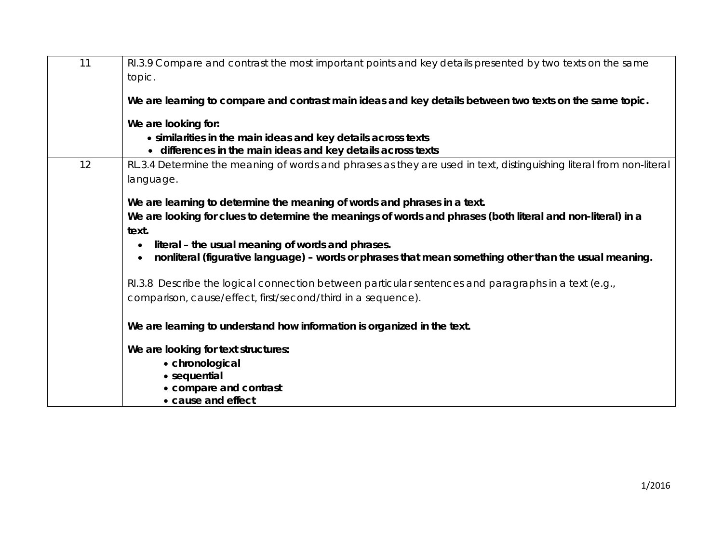| 11 | RI.3.9 Compare and contrast the most important points and key details presented by two texts on the same            |
|----|---------------------------------------------------------------------------------------------------------------------|
|    | topic.                                                                                                              |
|    | We are learning to compare and contrast main ideas and key details between two texts on the same topic.             |
|    | We are looking for:                                                                                                 |
|    | • similarities in the main ideas and key details across texts                                                       |
|    | • differences in the main ideas and key details across texts                                                        |
| 12 | RL.3.4 Determine the meaning of words and phrases as they are used in text, distinguishing literal from non-literal |
|    | language.                                                                                                           |
|    | We are learning to determine the meaning of words and phrases in a text.                                            |
|    | We are looking for clues to determine the meanings of words and phrases (both literal and non-literal) in a         |
|    | text.                                                                                                               |
|    | literal – the usual meaning of words and phrases.                                                                   |
|    | nonliteral (figurative language) - words or phrases that mean something other than the usual meaning.               |
|    | RI.3.8 Describe the logical connection between particular sentences and paragraphs in a text (e.g.,                 |
|    | comparison, cause/effect, first/second/third in a sequence).                                                        |
|    | We are learning to understand how information is organized in the text.                                             |
|    | We are looking for text structures:                                                                                 |
|    | • chronological                                                                                                     |
|    | • sequential                                                                                                        |
|    | • compare and contrast                                                                                              |
|    | • cause and effect                                                                                                  |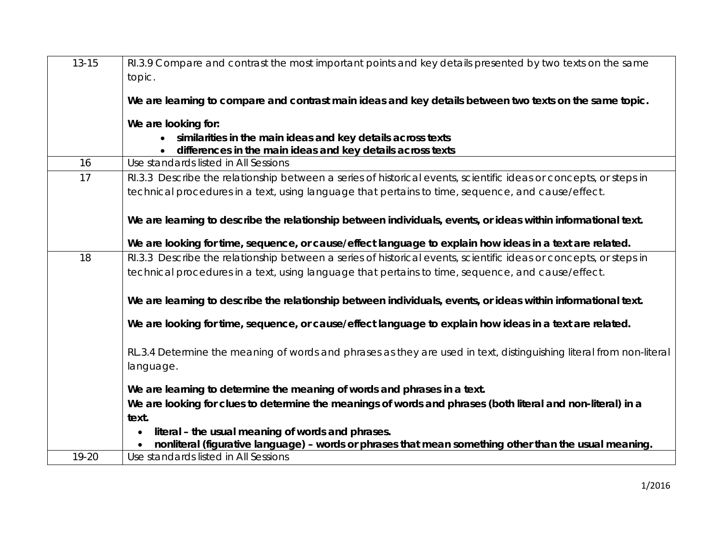| $13 - 15$ | RI.3.9 Compare and contrast the most important points and key details presented by two texts on the same<br>topic.                                         |
|-----------|------------------------------------------------------------------------------------------------------------------------------------------------------------|
|           | We are learning to compare and contrast main ideas and key details between two texts on the same topic.                                                    |
|           | We are looking for:                                                                                                                                        |
|           | similarities in the main ideas and key details across texts<br>differences in the main ideas and key details across texts                                  |
| 16        | Use standards listed in All Sessions                                                                                                                       |
| 17        | RI.3.3 Describe the relationship between a series of historical events, scientific ideas or concepts, or steps in                                          |
|           | technical procedures in a text, using language that pertains to time, sequence, and cause/effect.                                                          |
|           | We are learning to describe the relationship between individuals, events, or ideas within informational text.                                              |
|           | We are looking for time, sequence, or cause/effect language to explain how ideas in a text are related.                                                    |
| 18        | RI.3.3 Describe the relationship between a series of historical events, scientific ideas or concepts, or steps in                                          |
|           | technical procedures in a text, using language that pertains to time, sequence, and cause/effect.                                                          |
|           | We are learning to describe the relationship between individuals, events, or ideas within informational text.                                              |
|           | We are looking for time, sequence, or cause/effect language to explain how ideas in a text are related.                                                    |
|           | RL.3.4 Determine the meaning of words and phrases as they are used in text, distinguishing literal from non-literal<br>language.                           |
|           | We are learning to determine the meaning of words and phrases in a text.                                                                                   |
|           | We are looking for clues to determine the meanings of words and phrases (both literal and non-literal) in a<br>text.                                       |
|           | literal - the usual meaning of words and phrases.<br>nonliteral (figurative language) - words or phrases that mean something other than the usual meaning. |
| 19-20     | Use standards listed in All Sessions                                                                                                                       |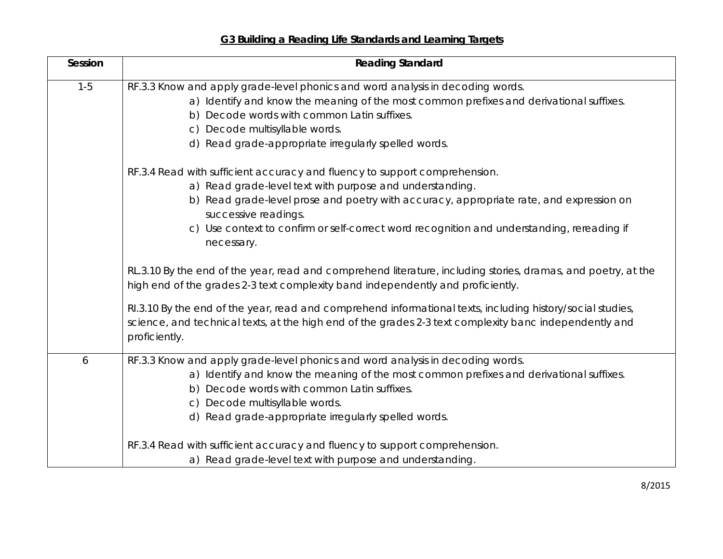|  | G3 Building a Reading Life Standards and Learning Targets |  |
|--|-----------------------------------------------------------|--|
|  |                                                           |  |

| Session | <b>Reading Standard</b>                                                                                                                                                                                                               |
|---------|---------------------------------------------------------------------------------------------------------------------------------------------------------------------------------------------------------------------------------------|
| $1 - 5$ | RF.3.3 Know and apply grade-level phonics and word analysis in decoding words.                                                                                                                                                        |
|         | a) Identify and know the meaning of the most common prefixes and derivational suffixes.                                                                                                                                               |
|         | b) Decode words with common Latin suffixes.                                                                                                                                                                                           |
|         | c) Decode multisyllable words.                                                                                                                                                                                                        |
|         | d) Read grade-appropriate irregularly spelled words.                                                                                                                                                                                  |
|         | RF.3.4 Read with sufficient accuracy and fluency to support comprehension.                                                                                                                                                            |
|         | a) Read grade-level text with purpose and understanding.                                                                                                                                                                              |
|         | b) Read grade-level prose and poetry with accuracy, appropriate rate, and expression on<br>successive readings.                                                                                                                       |
|         | c) Use context to confirm or self-correct word recognition and understanding, rereading if<br>necessary.                                                                                                                              |
|         | RL.3.10 By the end of the year, read and comprehend literature, including stories, dramas, and poetry, at the<br>high end of the grades 2-3 text complexity band independently and proficiently.                                      |
|         | RI.3.10 By the end of the year, read and comprehend informational texts, including history/social studies,<br>science, and technical texts, at the high end of the grades 2-3 text complexity banc independently and<br>proficiently. |
| 6       | RF.3.3 Know and apply grade-level phonics and word analysis in decoding words.                                                                                                                                                        |
|         | a) Identify and know the meaning of the most common prefixes and derivational suffixes.                                                                                                                                               |
|         | b) Decode words with common Latin suffixes.                                                                                                                                                                                           |
|         | c) Decode multisyllable words.                                                                                                                                                                                                        |
|         | d) Read grade-appropriate irregularly spelled words.                                                                                                                                                                                  |
|         | RF.3.4 Read with sufficient accuracy and fluency to support comprehension.                                                                                                                                                            |
|         | a) Read grade-level text with purpose and understanding.                                                                                                                                                                              |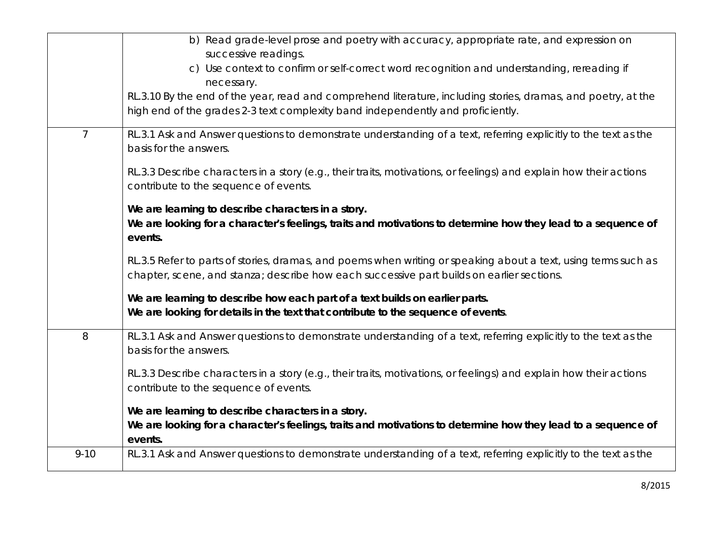|                | b) Read grade-level prose and poetry with accuracy, appropriate rate, and expression on<br>successive readings.                                                                                             |
|----------------|-------------------------------------------------------------------------------------------------------------------------------------------------------------------------------------------------------------|
|                | c) Use context to confirm or self-correct word recognition and understanding, rereading if<br>necessary.                                                                                                    |
|                | RL.3.10 By the end of the year, read and comprehend literature, including stories, dramas, and poetry, at the<br>high end of the grades 2-3 text complexity band independently and proficiently.            |
| $\overline{7}$ | RL.3.1 Ask and Answer questions to demonstrate understanding of a text, referring explicitly to the text as the<br>basis for the answers.                                                                   |
|                | RL.3.3 Describe characters in a story (e.g., their traits, motivations, or feelings) and explain how their actions<br>contribute to the sequence of events.                                                 |
|                | We are learning to describe characters in a story.<br>We are looking for a character's feelings, traits and motivations to determine how they lead to a sequence of<br>events.                              |
|                | RL.3.5 Refer to parts of stories, dramas, and poems when writing or speaking about a text, using terms such as<br>chapter, scene, and stanza; describe how each successive part builds on earlier sections. |
|                | We are learning to describe how each part of a text builds on earlier parts.<br>We are looking for details in the text that contribute to the sequence of events.                                           |
| 8              | RL.3.1 Ask and Answer questions to demonstrate understanding of a text, referring explicitly to the text as the<br>basis for the answers.                                                                   |
|                | RL.3.3 Describe characters in a story (e.g., their traits, motivations, or feelings) and explain how their actions<br>contribute to the sequence of events.                                                 |
|                | We are learning to describe characters in a story.                                                                                                                                                          |
|                | We are looking for a character's feelings, traits and motivations to determine how they lead to a sequence of<br>events.                                                                                    |
| $9 - 10$       | RL.3.1 Ask and Answer questions to demonstrate understanding of a text, referring explicitly to the text as the                                                                                             |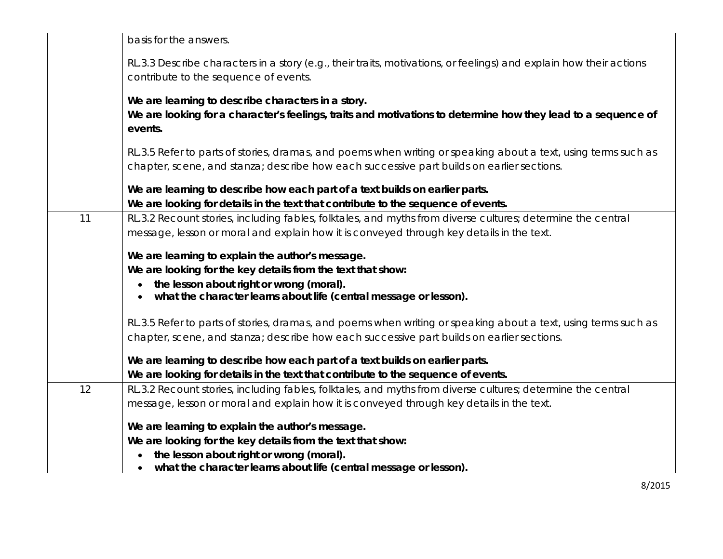|    | basis for the answers.                                                                                                                                                                                      |
|----|-------------------------------------------------------------------------------------------------------------------------------------------------------------------------------------------------------------|
|    | RL.3.3 Describe characters in a story (e.g., their traits, motivations, or feelings) and explain how their actions                                                                                          |
|    | contribute to the sequence of events.                                                                                                                                                                       |
|    | We are learning to describe characters in a story.                                                                                                                                                          |
|    | We are looking for a character's feelings, traits and motivations to determine how they lead to a sequence of<br>events.                                                                                    |
|    | RL.3.5 Refer to parts of stories, dramas, and poems when writing or speaking about a text, using terms such as<br>chapter, scene, and stanza; describe how each successive part builds on earlier sections. |
|    |                                                                                                                                                                                                             |
|    | We are learning to describe how each part of a text builds on earlier parts.                                                                                                                                |
|    | We are looking for details in the text that contribute to the sequence of events.                                                                                                                           |
| 11 | RL.3.2 Recount stories, including fables, folktales, and myths from diverse cultures; determine the central                                                                                                 |
|    | message, lesson or moral and explain how it is conveyed through key details in the text.                                                                                                                    |
|    | We are learning to explain the author's message.                                                                                                                                                            |
|    | We are looking for the key details from the text that show:                                                                                                                                                 |
|    | the lesson about right or wrong (moral).                                                                                                                                                                    |
|    | what the character learns about life (central message or lesson).                                                                                                                                           |
|    | RL.3.5 Refer to parts of stories, dramas, and poems when writing or speaking about a text, using terms such as                                                                                              |
|    | chapter, scene, and stanza; describe how each successive part builds on earlier sections.                                                                                                                   |
|    |                                                                                                                                                                                                             |
|    | We are learning to describe how each part of a text builds on earlier parts.                                                                                                                                |
|    | We are looking for details in the text that contribute to the sequence of events.                                                                                                                           |
| 12 | RL.3.2 Recount stories, including fables, folktales, and myths from diverse cultures; determine the central                                                                                                 |
|    | message, lesson or moral and explain how it is conveyed through key details in the text.                                                                                                                    |
|    | We are learning to explain the author's message.                                                                                                                                                            |
|    | We are looking for the key details from the text that show:                                                                                                                                                 |
|    | the lesson about right or wrong (moral).                                                                                                                                                                    |
|    | what the character learns about life (central message or lesson).                                                                                                                                           |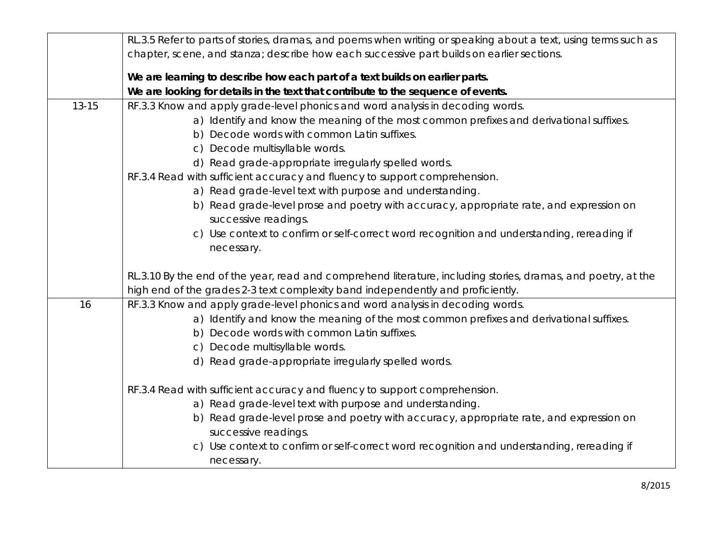|           | RL.3.5 Refer to parts of stories, dramas, and poems when writing or speaking about a text, using terms such as  |
|-----------|-----------------------------------------------------------------------------------------------------------------|
|           | chapter, scene, and stanza; describe how each successive part builds on earlier sections.                       |
|           | We are learning to describe how each part of a text builds on earlier parts.                                    |
|           | We are looking for details in the text that contribute to the sequence of events.                               |
| $13 - 15$ | RF.3.3 Know and apply grade-level phonics and word analysis in decoding words.                                  |
|           | a) Identify and know the meaning of the most common prefixes and derivational suffixes.                         |
|           | b) Decode words with common Latin suffixes.                                                                     |
|           | c) Decode multisyllable words.                                                                                  |
|           | d) Read grade-appropriate irregularly spelled words.                                                            |
|           | RF.3.4 Read with sufficient accuracy and fluency to support comprehension.                                      |
|           | a) Read grade-level text with purpose and understanding.                                                        |
|           | b) Read grade-level prose and poetry with accuracy, appropriate rate, and expression on                         |
|           | successive readings.                                                                                            |
|           | c) Use context to confirm or self-correct word recognition and understanding, rereading if                      |
|           | necessary.                                                                                                      |
|           |                                                                                                                 |
|           | RL.3.10 By the end of the year, read and comprehend literature, including stories, dramas, and poetry, at the   |
|           | high end of the grades 2-3 text complexity band independently and proficiently.                                 |
| 16        | RF.3.3 Know and apply grade-level phonics and word analysis in decoding words.                                  |
|           | a) Identify and know the meaning of the most common prefixes and derivational suffixes.                         |
|           | b) Decode words with common Latin suffixes.                                                                     |
|           | c) Decode multisyllable words.                                                                                  |
|           | d) Read grade-appropriate irregularly spelled words.                                                            |
|           |                                                                                                                 |
|           | RF.3.4 Read with sufficient accuracy and fluency to support comprehension.                                      |
|           | a) Read grade-level text with purpose and understanding.                                                        |
|           | b) Read grade-level prose and poetry with accuracy, appropriate rate, and expression on<br>successive readings. |
|           | Use context to confirm or self-correct word recognition and understanding, rereading if                         |
|           | C)                                                                                                              |
|           | necessary.                                                                                                      |